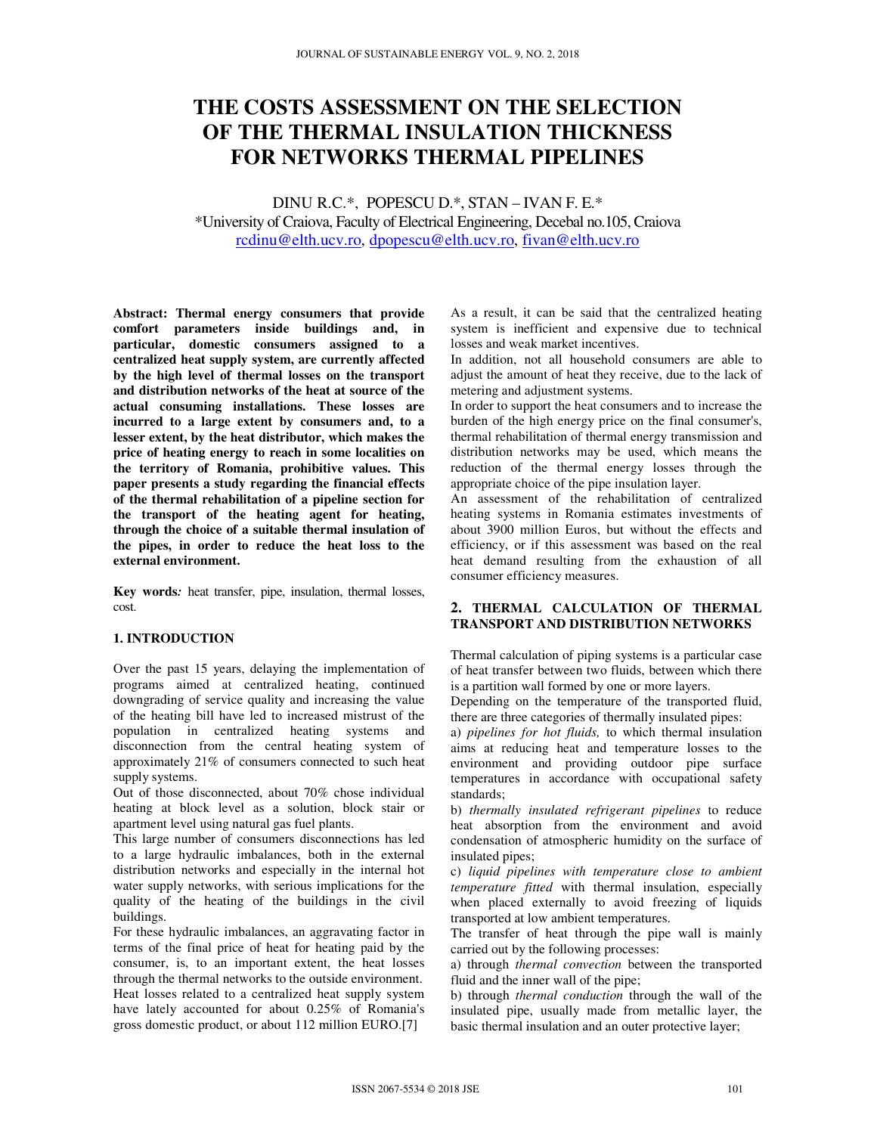# **THE COSTS ASSESSMENT ON THE SELECTION OF THE THERMAL INSULATION THICKNESS FOR NETWORKS THERMAL PIPELINES**

DINU R.C.\*, POPESCU D.\*, STAN – IVAN F. E.\* \*University of Craiova, Faculty of Electrical Engineering, Decebal no.105, Craiova rcdinu@elth.ucv.ro, dpopescu@elth.ucv.ro, fivan@elth.ucv.ro

**Abstract: Thermal energy consumers that provide comfort parameters inside buildings and, in particular, domestic consumers assigned to a centralized heat supply system, are currently affected by the high level of thermal losses on the transport and distribution networks of the heat at source of the actual consuming installations. These losses are incurred to a large extent by consumers and, to a lesser extent, by the heat distributor, which makes the price of heating energy to reach in some localities on the territory of Romania, prohibitive values. This paper presents a study regarding the financial effects of the thermal rehabilitation of a pipeline section for the transport of the heating agent for heating, through the choice of a suitable thermal insulation of the pipes, in order to reduce the heat loss to the external environment.** 

**Key words***:* heat transfer, pipe, insulation, thermal losses, cost.

## **1. INTRODUCTION**

Over the past 15 years, delaying the implementation of programs aimed at centralized heating, continued downgrading of service quality and increasing the value of the heating bill have led to increased mistrust of the population in centralized heating systems and disconnection from the central heating system of approximately 21% of consumers connected to such heat supply systems.

Out of those disconnected, about 70% chose individual heating at block level as a solution, block stair or apartment level using natural gas fuel plants.

This large number of consumers disconnections has led to a large hydraulic imbalances, both in the external distribution networks and especially in the internal hot water supply networks, with serious implications for the quality of the heating of the buildings in the civil buildings.

For these hydraulic imbalances, an aggravating factor in terms of the final price of heat for heating paid by the consumer, is, to an important extent, the heat losses through the thermal networks to the outside environment. Heat losses related to a centralized heat supply system have lately accounted for about 0.25% of Romania's gross domestic product, or about 112 million EURO.[7]

As a result, it can be said that the centralized heating system is inefficient and expensive due to technical losses and weak market incentives.

In addition, not all household consumers are able to adjust the amount of heat they receive, due to the lack of metering and adjustment systems.

In order to support the heat consumers and to increase the burden of the high energy price on the final consumer's, thermal rehabilitation of thermal energy transmission and distribution networks may be used, which means the reduction of the thermal energy losses through the appropriate choice of the pipe insulation layer.

An assessment of the rehabilitation of centralized heating systems in Romania estimates investments of about 3900 million Euros, but without the effects and efficiency, or if this assessment was based on the real heat demand resulting from the exhaustion of all consumer efficiency measures.

### **2. THERMAL CALCULATION OF THERMAL TRANSPORT AND DISTRIBUTION NETWORKS**

Thermal calculation of piping systems is a particular case of heat transfer between two fluids, between which there is a partition wall formed by one or more layers.

Depending on the temperature of the transported fluid, there are three categories of thermally insulated pipes:

a) *pipelines for hot fluids,* to which thermal insulation aims at reducing heat and temperature losses to the environment and providing outdoor pipe surface temperatures in accordance with occupational safety standards;

b) *thermally insulated refrigerant pipelines* to reduce heat absorption from the environment and avoid condensation of atmospheric humidity on the surface of insulated pipes;

c) *liquid pipelines with temperature close to ambient temperature fitted* with thermal insulation, especially when placed externally to avoid freezing of liquids transported at low ambient temperatures.

The transfer of heat through the pipe wall is mainly carried out by the following processes:

a) through *thermal convection* between the transported fluid and the inner wall of the pipe;

b) through *thermal conduction* through the wall of the insulated pipe, usually made from metallic layer, the basic thermal insulation and an outer protective layer;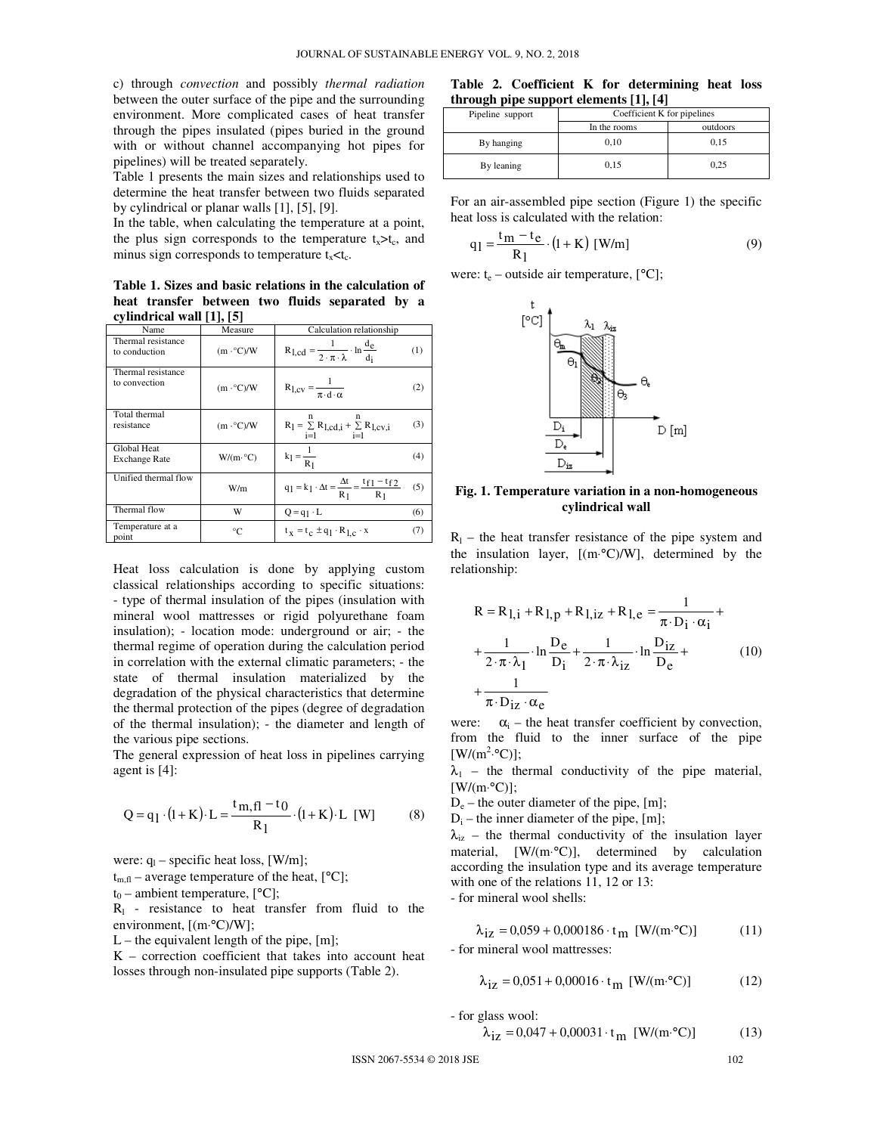c) through *convection* and possibly *thermal radiation* between the outer surface of the pipe and the surrounding environment. More complicated cases of heat transfer through the pipes insulated (pipes buried in the ground with or without channel accompanying hot pipes for pipelines) will be treated separately.

Table 1 presents the main sizes and relationships used to determine the heat transfer between two fluids separated by cylindrical or planar walls [1], [5], [9].

In the table, when calculating the temperature at a point, the plus sign corresponds to the temperature  $t_x > t_c$ , and minus sign corresponds to temperature  $t_x < t_c$ .

**Table 1. Sizes and basic relations in the calculation of heat transfer between two fluids separated by a cylindrical wall [1], [5]** 

| Name                                | Measure                 | Calculation relationship                                                        |     |  |
|-------------------------------------|-------------------------|---------------------------------------------------------------------------------|-----|--|
| Thermal resistance<br>to conduction | $(m \cdot ^{\circ}C)/W$ | $R_{1,cd} = \frac{1}{2 \cdot \pi \cdot \lambda} \cdot \ln \frac{d_e}{d_i}$      | (1) |  |
| Thermal resistance<br>to convection | $(m \cdot ^{\circ}C)/W$ | $R_{1,CV} = \frac{1}{\pi \cdot d \cdot \alpha}$                                 | (2) |  |
| Total thermal<br>resistance         | $(m \cdot ^{\circ}C)/W$ | $R_l = \sum R_{l, cd, i} + \sum R_{l, cv, i}$<br>$i=1$<br>$i=1$                 | (3) |  |
| Global Heat<br><b>Exchange Rate</b> | $W/(m \cdot C)$         | $k_1 = \frac{1}{R_1}$                                                           | (4) |  |
| Unified thermal flow                | W/m                     | $q_1 = k_1 \cdot \Delta t = \frac{\Delta t}{R_1} = \frac{t_{f1} - t_{f2}}{R_1}$ | (5) |  |
| Thermal flow                        | w                       | $Q = q_1 \cdot L$                                                               | (6) |  |
| Temperature at a<br>point           | °C                      | $t_x = t_c \pm q_1 \cdot R_{l,c} \cdot x$                                       | (7) |  |

Heat loss calculation is done by applying custom classical relationships according to specific situations: - type of thermal insulation of the pipes (insulation with mineral wool mattresses or rigid polyurethane foam insulation); - location mode: underground or air; - the thermal regime of operation during the calculation period in correlation with the external climatic parameters; - the state of thermal insulation materialized by the degradation of the physical characteristics that determine the thermal protection of the pipes (degree of degradation of the thermal insulation); - the diameter and length of the various pipe sections.

The general expression of heat loss in pipelines carrying agent is [4]:

$$
Q = q_1 \cdot (1 + K) \cdot L = \frac{t_{m,fl} - t_0}{R_1} \cdot (1 + K) \cdot L \quad [W] \tag{8}
$$

were:  $q_1$  – specific heat loss, [W/m];

 $t_{m}$   $\theta$  – average temperature of the heat,  $[°C]$ ;

 $t_0$  – ambient temperature, [°C];

 $R<sub>1</sub>$  - resistance to heat transfer from fluid to the environment, [(m⋅°C)/W];

 $L$  – the equivalent length of the pipe,  $[m]$ ;

K – correction coefficient that takes into account heat losses through non-insulated pipe supports (Table 2).

**Table 2. Coefficient K for determining heat loss through pipe support elements [1], [4]** 

| Pipeline support | Coefficient K for pipelines |          |  |
|------------------|-----------------------------|----------|--|
|                  | In the rooms                | outdoors |  |
| By hanging       | 0.10                        | 0.15     |  |
| By leaning       | 0.15                        | 0.25     |  |

For an air-assembled pipe section (Figure 1) the specific heat loss is calculated with the relation:

$$
q_1 = \frac{t_m - t_e}{R_1} \cdot (1 + K) [W/m]
$$
 (9)

were:  $t_e$  – outside air temperature, [°C];



**Fig. 1. Temperature variation in a non-homogeneous cylindrical wall** 

 $R_1$  – the heat transfer resistance of the pipe system and the insulation layer, [(m⋅°C)/W], determined by the relationship:

$$
R = R_{1,i} + R_{1,p} + R_{1,iz} + R_{1,e} = \frac{1}{\pi \cdot D_i \cdot \alpha_i} + \frac{1}{2 \cdot \pi \cdot \lambda_1} \cdot \ln \frac{D_e}{D_i} + \frac{1}{2 \cdot \pi \cdot \lambda_{iz}} \cdot \ln \frac{D_{iz}}{D_e} + \frac{1}{\pi \cdot D_{iz} \cdot \alpha_e}
$$
 (10)

were:  $\alpha_i$  – the heat transfer coefficient by convection, from the fluid to the inner surface of the pipe  $[W/(m^2.°C)];$ 

 $\lambda_1$  – the thermal conductivity of the pipe material,  $[W/(m \cdot ^{\circ}C)].$ 

De – the outer diameter of the pipe, [m];

 $D_i$  – the inner diameter of the pipe, [m];

 $\lambda_{iz}$  – the thermal conductivity of the insulation layer material, [W/(m⋅°C)], determined by calculation according the insulation type and its average temperature with one of the relations 11, 12 or 13:

- for mineral wool shells:

$$
\lambda_{iz} = 0.059 + 0.000186 \cdot t_m \text{ [W/(m} \text{°C)]}
$$
 (11)

- for mineral wool mattresses:

$$
\lambda_{iz} = 0.051 + 0.00016 \cdot t_m \text{ [W/(m} \text{°C)]}
$$
 (12)

- for glass wool:

$$
\lambda_{\text{iz}} = 0.047 + 0.00031 \cdot t_{\text{m}} \text{ [W/(m} \cdot {}^{\circ}\text{C)]}
$$
 (13)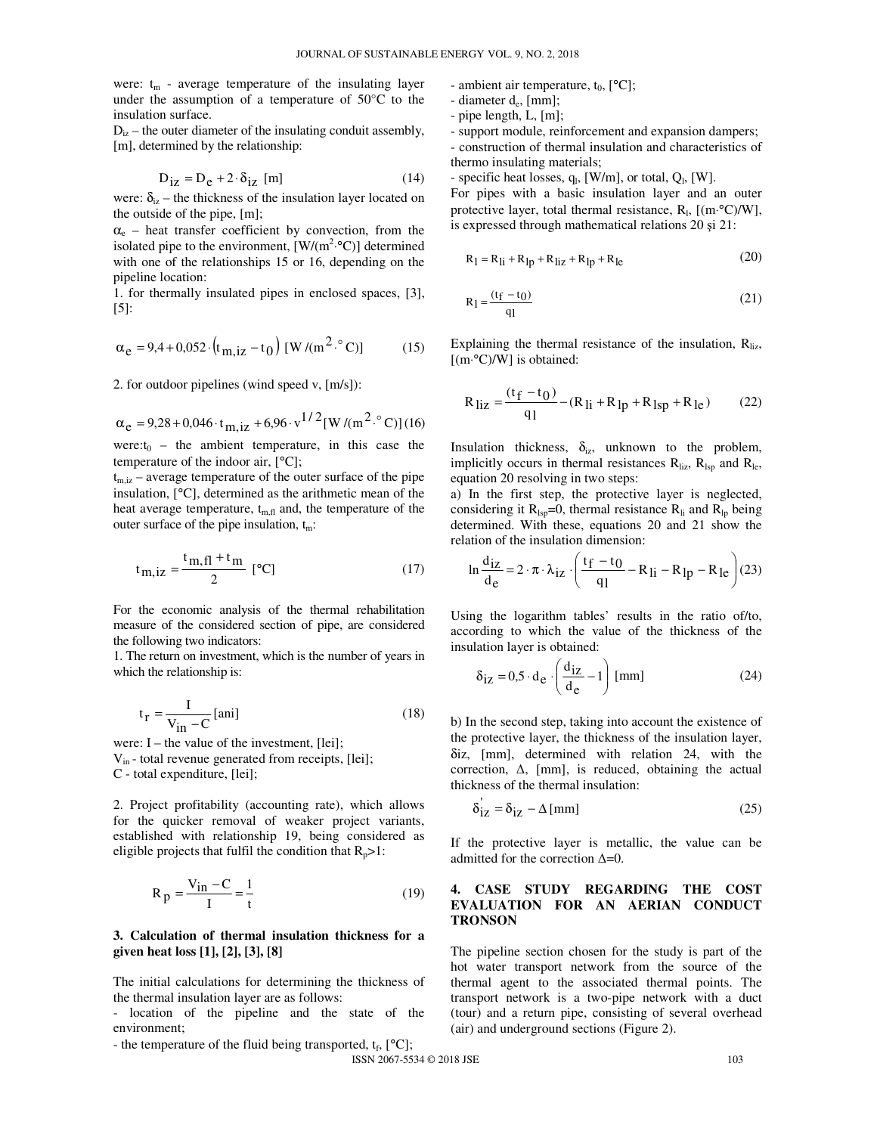were:  $t_m$  - average temperature of the insulating layer under the assumption of a temperature of 50°C to the insulation surface.

 $D_{i\tau}$  – the outer diameter of the insulating conduit assembly, [m], determined by the relationship:

$$
D_{iz} = D_e + 2 \cdot \delta_{iz} \text{ [m]}
$$
 (14)

were:  $\delta_{iz}$  – the thickness of the insulation layer located on the outside of the pipe, [m];

 $\alpha_{e}$  – heat transfer coefficient by convection, from the isolated pipe to the environment,  $[W/(m^2 \cdot ^{\circ}C)]$  determined with one of the relationships 15 or 16, depending on the pipeline location:

1. for thermally insulated pipes in enclosed spaces, [3], [5]:

$$
\alpha_{e} = 9.4 + 0.052 \cdot (t_{m, iz} - t_0) [W/(m^2 \cdot ^{\circ}C)] \tag{15}
$$

2. for outdoor pipelines (wind speed v, [m/s]):

$$
\alpha_e = 9.28 + 0.046 \cdot t_{m,iz} + 6.96 \cdot v^{1/2} [W/(m^2 \cdot ^{\circ}C)] (16)
$$

were: $t_0$  – the ambient temperature, in this case the temperature of the indoor air, [°C];

 $t_{m,iz}$  – average temperature of the outer surface of the pipe insulation, [°C], determined as the arithmetic mean of the heat average temperature,  $t_{m,f}$  and, the temperature of the outer surface of the pipe insulation,  $t_m$ :

$$
t_{m,iz} = \frac{t_{m,fl} + t_m}{2} [^{\circ}C]
$$
 (17)

For the economic analysis of the thermal rehabilitation measure of the considered section of pipe, are considered the following two indicators:

1. The return on investment, which is the number of years in which the relationship is:

$$
t_{r} = \frac{I}{V_{in} - C} \text{[ani]}
$$
 (18)

were:  $I$  – the value of the investment, [lei]; Vin - total revenue generated from receipts, [lei]; C - total expenditure, [lei];

2. Project profitability (accounting rate), which allows for the quicker removal of weaker project variants, established with relationship 19, being considered as eligible projects that fulfil the condition that  $R_p > 1$ :

$$
R_p = \frac{V_{in} - C}{I} = \frac{1}{t}
$$
 (19)

#### **3. Calculation of thermal insulation thickness for a given heat loss [1], [2], [3], [8]**

The initial calculations for determining the thickness of the thermal insulation layer are as follows:

- location of the pipeline and the state of the environment;

- the temperature of the fluid being transported,  $t_f$ , [°C];

 $ISSN 2067-5534 \odot 2018 JSE$  103

- ambient air temperature,  $t_0$ ,  $[°C]$ ;
- diameter d<sup>e</sup> , [mm];
- pipe length, L, [m];
- support module, reinforcement and expansion dampers; - construction of thermal insulation and characteristics of thermo insulating materials;

- specific heat losses,  $q_l$ , [W/m], or total,  $Q_l$ , [W]. For pipes with a basic insulation layer and an outer protective layer, total thermal resistance,  $R_1$ , [(m⋅°C)/W], is expressed through mathematical relations 20 şi 21:

$$
R_1 = R_{1i} + R_{1p} + R_{1iz} + R_{1p} + R_{1e}
$$
 (20)

$$
R_1 = \frac{(t_f - t_0)}{q_1} \tag{21}
$$

Explaining the thermal resistance of the insulation,  $R_{\text{li}z}$ , [(m⋅°C)/W] is obtained:

$$
R_{\text{liz}} = \frac{(t_f - t_0)}{q_1} - (R_{\text{li}} + R_{\text{lp}} + R_{\text{lsp}} + R_{\text{le}}) \tag{22}
$$

Insulation thickness,  $\delta_{iz}$ , unknown to the problem, implicitly occurs in thermal resistances  $R_{\text{li}z}$ ,  $R_{\text{lsp}}$  and  $R_{\text{le}}$ , equation 20 resolving in two steps:

a) In the first step, the protective layer is neglected, considering it  $R_{\text{lsn}}=0$ , thermal resistance  $R_{\text{li}}$  and  $R_{\text{ln}}$  being determined. With these, equations 20 and 21 show the relation of the insulation dimension:

$$
\ln \frac{d_{iz}}{d_e} = 2 \cdot \pi \cdot \lambda_{iz} \cdot \left( \frac{t_f - t_0}{q_l} - R_{li} - R_{lp} - R_{le} \right) (23)
$$

Using the logarithm tables' results in the ratio of/to, according to which the value of the thickness of the insulation layer is obtained:

$$
\delta_{\text{iz}} = 0.5 \cdot d_{\text{e}} \cdot \left(\frac{d_{\text{iz}}}{d_{\text{e}}} - 1\right) \text{ [mm]}
$$
 (24)

b) In the second step, taking into account the existence of the protective layer, the thickness of the insulation layer, δiz, [mm], determined with relation 24, with the correction,  $\Delta$ , [mm], is reduced, obtaining the actual thickness of the thermal insulation:

$$
\delta_{\text{iz}} = \delta_{\text{iz}} - \Delta \,\text{[mm]} \tag{25}
$$

If the protective layer is metallic, the value can be admitted for the correction ∆=0.

#### **4. CASE STUDY REGARDING THE COST EVALUATION FOR AN AERIAN CONDUCT TRONSON**

The pipeline section chosen for the study is part of the hot water transport network from the source of the thermal agent to the associated thermal points. The transport network is a two-pipe network with a duct (tour) and a return pipe, consisting of several overhead (air) and underground sections (Figure 2).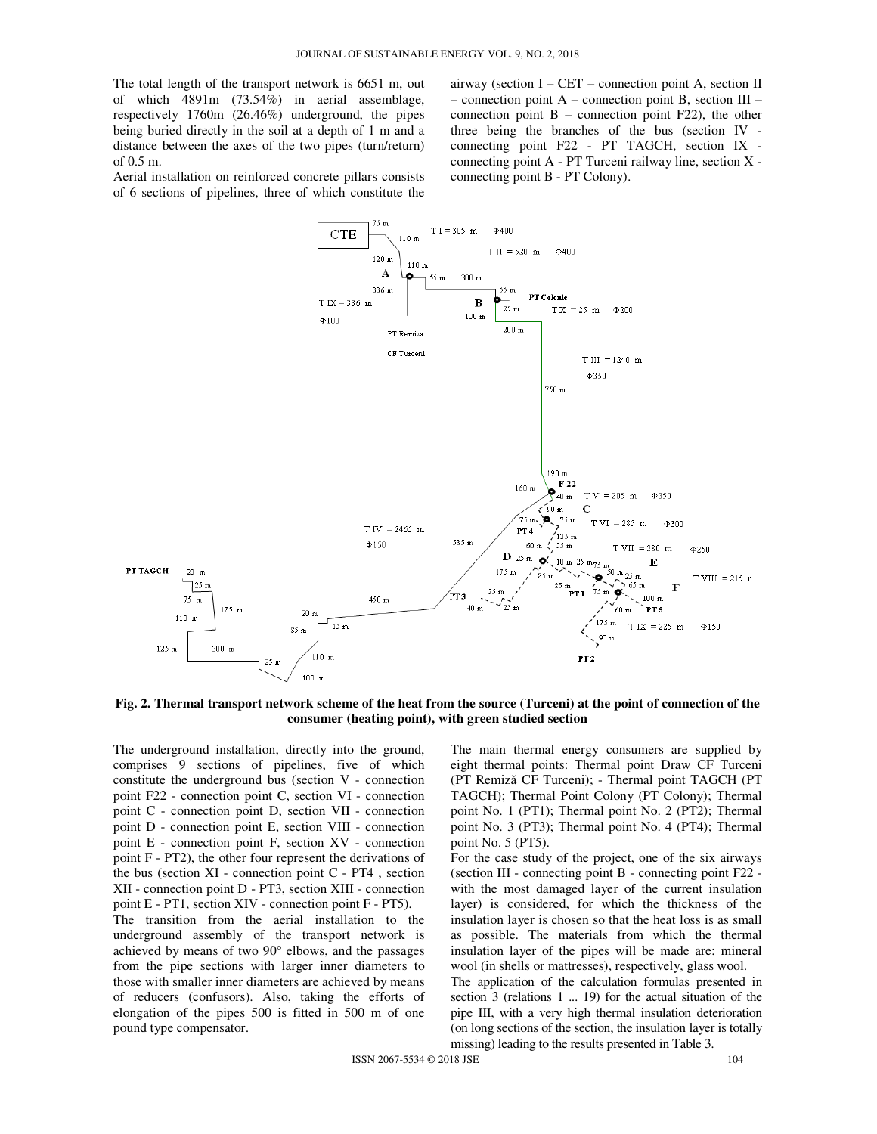The total length of the transport network is 6651 m, out of which 4891m (73.54%) in aerial assemblage, respectively 1760m (26.46%) underground, the pipes being buried directly in the soil at a depth of 1 m and a distance between the axes of the two pipes (turn/return) of 0.5 m.

Aerial installation on reinforced concrete pillars consists of 6 sections of pipelines, three of which constitute the airway (section I – CET – connection point A, section II – connection point A – connection point B, section III – connection point  $B$  – connection point F22), the other three being the branches of the bus (section IV connecting point F22 - PT TAGCH, section IX connecting point A - PT Turceni railway line, section X connecting point B - PT Colony).



**Fig. 2. Thermal transport network scheme of the heat from the source (Turceni) at the point of connection of the consumer (heating point), with green studied section** 

The underground installation, directly into the ground, comprises 9 sections of pipelines, five of which constitute the underground bus (section V - connection point F22 - connection point C, section VI - connection point C - connection point D, section VII - connection point D - connection point E, section VIII - connection point E - connection point F, section XV - connection point F - PT2), the other four represent the derivations of the bus (section  $XI$  - connection point  $C$  -  $PT4$ , section XII - connection point D - PT3, section XIII - connection point E - PT1, section XIV - connection point F - PT5). The transition from the aerial installation to the underground assembly of the transport network is achieved by means of two 90° elbows, and the passages from the pipe sections with larger inner diameters to those with smaller inner diameters are achieved by means of reducers (confusors). Also, taking the efforts of elongation of the pipes 500 is fitted in 500 m of one

pound type compensator.

The main thermal energy consumers are supplied by eight thermal points: Thermal point Draw CF Turceni (PT Remiză CF Turceni); - Thermal point TAGCH (PT TAGCH); Thermal Point Colony (PT Colony); Thermal point No. 1 (PT1); Thermal point No. 2 (PT2); Thermal point No. 3 (PT3); Thermal point No. 4 (PT4); Thermal point No. 5 (PT5).

For the case study of the project, one of the six airways (section III - connecting point B - connecting point F22 with the most damaged layer of the current insulation layer) is considered, for which the thickness of the insulation layer is chosen so that the heat loss is as small as possible. The materials from which the thermal insulation layer of the pipes will be made are: mineral wool (in shells or mattresses), respectively, glass wool. The application of the calculation formulas presented in section 3 (relations 1 ... 19) for the actual situation of the pipe III, with a very high thermal insulation deterioration (on long sections of the section, the insulation layer is totally

missing) leading to the results presented in Table 3.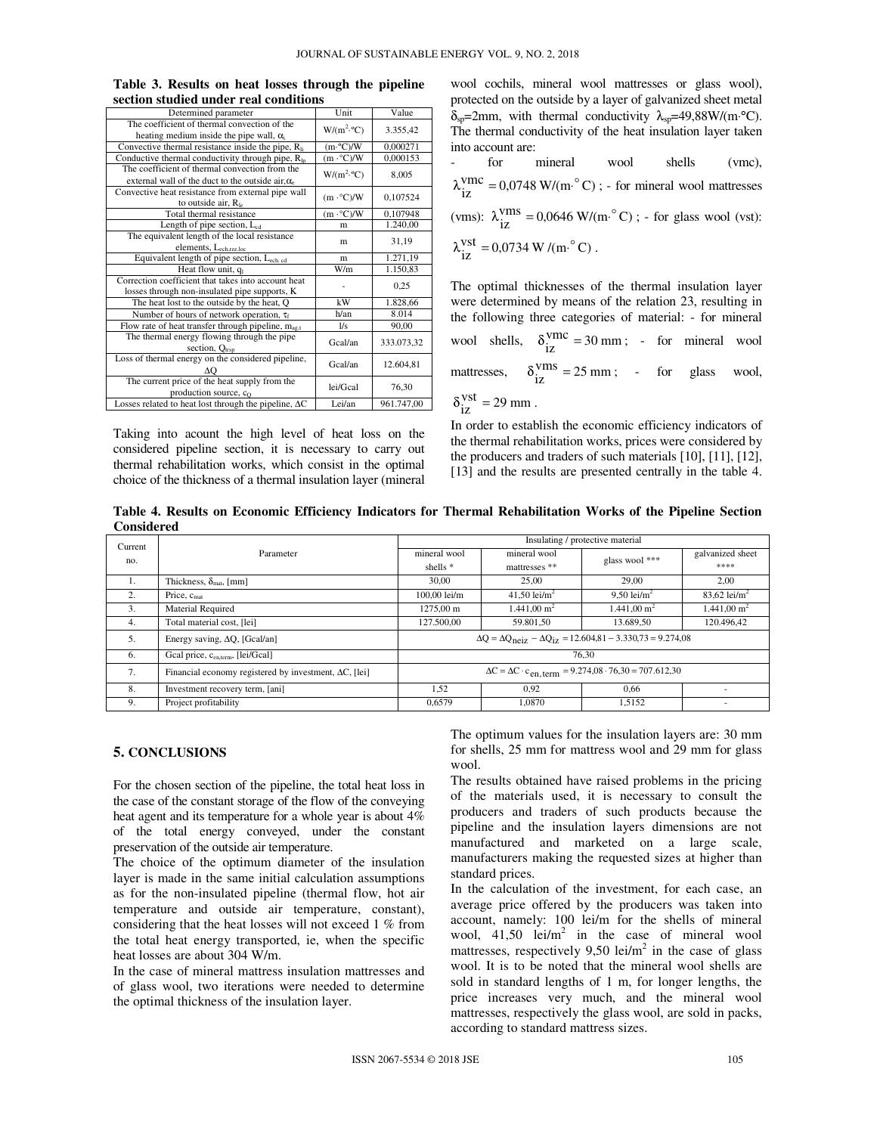| Determined parameter                                           | Unit                    | Value      |  |
|----------------------------------------------------------------|-------------------------|------------|--|
| The coefficient of thermal convection of the                   | $W/(m^2.$ °C)           | 3.355,42   |  |
| heating medium inside the pipe wall, $\alpha$                  |                         |            |  |
| Convective thermal resistance inside the pipe, R <sub>li</sub> | $(m \cdot C)/W$         | 0,000271   |  |
| Conductive thermal conductivity through pipe, $R_{\text{ln}}$  | $(m \cdot ^{\circ}C)/W$ | 0,000153   |  |
| The coefficient of thermal convection from the                 | $W/(m^2.$ °C)           | 8,005      |  |
| external wall of the duct to the outside air, $\alpha_e$       |                         |            |  |
| Convective heat resistance from external pipe wall             |                         |            |  |
| to outside air, $R_{le}$                                       | $(m \cdot ^{\circ}C)/W$ | 0,107524   |  |
| Total thermal resistance                                       | $(m \cdot ^{\circ}C)/W$ | 0,107948   |  |
| Length of pipe section, $L_{cd}$                               | m                       | 1.240,00   |  |
| The equivalent length of the local resistance                  |                         | 31,19      |  |
| elements, $L_{ech, rez, loc}$                                  | m                       |            |  |
| Equivalent length of pipe section, Lech.cd                     | m                       | 1.271,19   |  |
| Heat flow unit, q <sub>1</sub>                                 | W/m                     | 1.150,83   |  |
| Correction coefficient that takes into account heat            |                         | 0,25       |  |
| losses through non-insulated pipe supports, K                  |                         |            |  |
| The heat lost to the outside by the heat, Q                    | kW                      | 1.828,66   |  |
| Number of hours of network operation, $\tau_f$                 | h/an                    | 8.014      |  |
| Flow rate of heat transfer through pipeline, $m_{\text{av}}$   | 1/s                     | 90,00      |  |
| The thermal energy flowing through the pipe                    |                         | 333.073,32 |  |
| section, $Q_{\text{trso}}$                                     | Gcal/an                 |            |  |
| Loss of thermal energy on the considered pipeline,             | Gcal/an                 |            |  |
| ΛO                                                             |                         | 12.604,81  |  |
| The current price of the heat supply from the                  | lei/Gcal                | 76,30      |  |
| production source, c <sub>o</sub>                              |                         |            |  |
| Losses related to heat lost through the pipeline, $\Delta C$   | Lei/an                  | 961.747,00 |  |

**Table 3. Results on heat losses through the pipeline section studied under real conditions** 

Taking into acount the high level of heat loss on the considered pipeline section, it is necessary to carry out thermal rehabilitation works, which consist in the optimal choice of the thickness of a thermal insulation layer (mineral wool cochils, mineral wool mattresses or glass wool), protected on the outside by a layer of galvanized sheet metal  $\delta_{\rm SD} = 2$ mm, with thermal conductivity  $\lambda_{\rm SD} = 49,88 \,\text{W/(m·°C)}$ . The thermal conductivity of the heat insulation layer taken into account are:

| $\Delta \sim 100$ | for mineral wool shells (vmc),                                                                  |  |  |
|-------------------|-------------------------------------------------------------------------------------------------|--|--|
|                   | $\lambda_{17}^{\text{Vmc}}$ = 0,0748 W/(m <sup>o</sup> C); - for mineral wool mattresses        |  |  |
|                   | (vms): $\lambda_{i\tau}^{Vms} = 0.0646 \text{ W/(m}^{\circ}\text{C)}$ ; - for glass wool (vst): |  |  |
|                   | $\lambda_{17}^{\text{Vst}} = 0.0734 \text{ W/(m}^{\circ}\text{C)}.$                             |  |  |
|                   |                                                                                                 |  |  |

The optimal thicknesses of the thermal insulation layer were determined by means of the relation 23, resulting in the following three categories of material: - for mineral wool shells,  $\delta_{iz}^{Vmc} = 30$  mm; - for mineral wool mattresses,  $\delta_{iz}^{Vms} = 25 \text{ mm}$ ; - for glass wool,  $\delta_{iz}^{\text{vst}} = 29 \text{ mm}.$ 

In order to establish the economic efficiency indicators of the thermal rehabilitation works, prices were considered by the producers and traders of such materials [10], [11], [12], [13] and the results are presented centrally in the table 4.

**Table 4. Results on Economic Efficiency Indicators for Thermal Rehabilitation Works of the Pipeline Section Considered** 

| Current |                                                                | Insulating / protective material                                                             |                          |                        |                          |
|---------|----------------------------------------------------------------|----------------------------------------------------------------------------------------------|--------------------------|------------------------|--------------------------|
| no.     | Parameter                                                      | mineral wool                                                                                 | mineral wool             | glass wool ***         | galvanized sheet         |
|         |                                                                | shells $*$                                                                                   | mattresses **            |                        | ****                     |
| 1.      | Thickness, $\delta_{\text{mat}}$ , [mm]                        | 30,00                                                                                        | 25,00                    | 29,00                  | 2.00                     |
| 2.      | Price, $c_{\text{mat}}$                                        | 100,00 lei/m                                                                                 | 41,50 lei/m <sup>2</sup> | 9,50 lei/ $m2$         | 83,62 lei/m <sup>2</sup> |
| 3.      | Material Required                                              | 1275.00 m                                                                                    | $1.441,00 \text{ m}^2$   | $1.441,00 \text{ m}^2$ | $1.441,00 \text{ m}^2$   |
| 4.      | Total material cost, [lei]                                     | 127.500,00                                                                                   | 59.801.50                | 13.689.50              | 120.496.42               |
| 5.      | Energy saving, $\Delta Q$ , [Gcal/an]                          | $\Delta Q = \Delta Q_{\text{neiz}} - \Delta Q_{\text{iz}} = 12.604,81 - 3.330,73 = 9.274,08$ |                          |                        |                          |
| 6.      | Gcal price, C <sub>enterm</sub> , [lei/Gcal]                   | 76.30                                                                                        |                          |                        |                          |
| 7.      | Financial economy registered by investment, $\Delta C$ , [lei] | $\Delta C = \Delta C \cdot c_{en. \text{term}} = 9.274,08 \cdot 76,30 = 707.612,30$          |                          |                        |                          |
| 8.      | Investment recovery term, [ani]                                | 1.52                                                                                         | 0.92                     | 0.66                   |                          |
| 9.      | Project profitability                                          | 0.6579                                                                                       | 1.0870                   | 1,5152                 | $\overline{\phantom{a}}$ |

#### **5. CONCLUSIONS**

For the chosen section of the pipeline, the total heat loss in the case of the constant storage of the flow of the conveying heat agent and its temperature for a whole year is about 4% of the total energy conveyed, under the constant preservation of the outside air temperature.

The choice of the optimum diameter of the insulation layer is made in the same initial calculation assumptions as for the non-insulated pipeline (thermal flow, hot air temperature and outside air temperature, constant), considering that the heat losses will not exceed 1 % from the total heat energy transported, ie, when the specific heat losses are about 304 W/m.

In the case of mineral mattress insulation mattresses and of glass wool, two iterations were needed to determine the optimal thickness of the insulation layer.

The optimum values for the insulation layers are: 30 mm for shells, 25 mm for mattress wool and 29 mm for glass wool.

The results obtained have raised problems in the pricing of the materials used, it is necessary to consult the producers and traders of such products because the pipeline and the insulation layers dimensions are not manufactured and marketed on a large scale, manufacturers making the requested sizes at higher than standard prices.

In the calculation of the investment, for each case, an average price offered by the producers was taken into account, namely: 100 lei/m for the shells of mineral wool,  $41,50$  lei/m<sup>2</sup> in the case of mineral wool mattresses, respectively 9,50 lei/ $m<sup>2</sup>$  in the case of glass wool. It is to be noted that the mineral wool shells are sold in standard lengths of 1 m, for longer lengths, the price increases very much, and the mineral wool mattresses, respectively the glass wool, are sold in packs, according to standard mattress sizes.